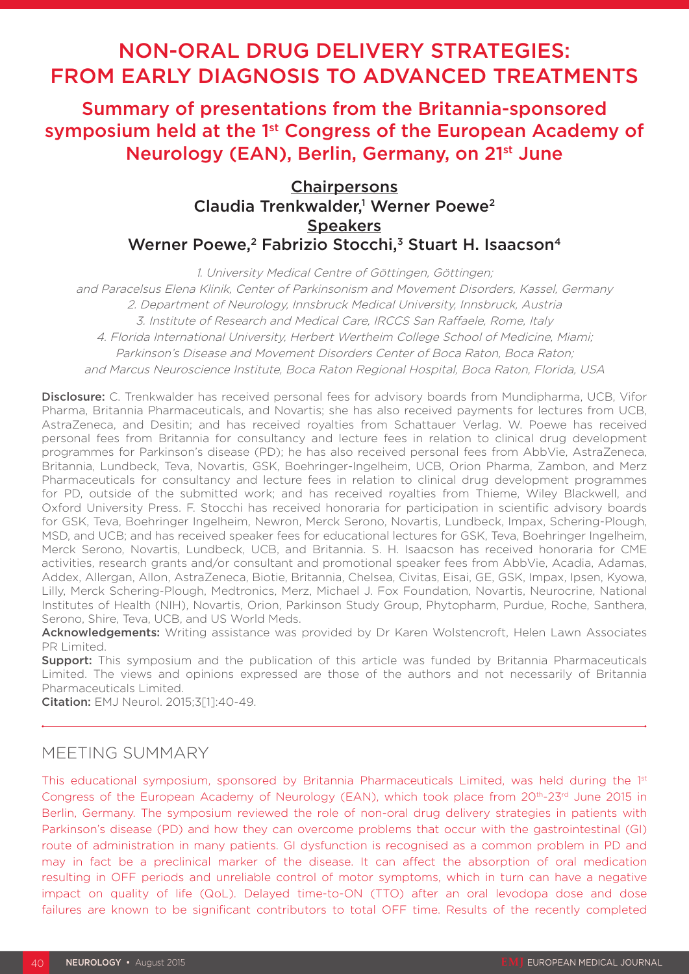# NON-ORAL DRUG DELIVERY STRATEGIES: FROM EARLY DIAGNOSIS TO ADVANCED TREATMENTS

Summary of presentations from the Britannia-sponsored symposium held at the 1<sup>st</sup> Congress of the European Academy of Neurology (EAN), Berlin, Germany, on 21st June

# **Chairpersons** Claudia Trenkwalder,<sup>1</sup> Werner Poewe<sup>2</sup> **Speakers** Werner Poewe,<sup>2</sup> Fabrizio Stocchi,<sup>3</sup> Stuart H. Isaacson<sup>4</sup>

1. University Medical Centre of Göttingen, Göttingen;

and Paracelsus Elena Klinik, Center of Parkinsonism and Movement Disorders, Kassel, Germany 2. Department of Neurology, Innsbruck Medical University, Innsbruck, Austria 3. Institute of Research and Medical Care, IRCCS San Raffaele, Rome, Italy 4. Florida International University, Herbert Wertheim College School of Medicine, Miami; Parkinson's Disease and Movement Disorders Center of Boca Raton, Boca Raton; and Marcus Neuroscience Institute, Boca Raton Regional Hospital, Boca Raton, Florida, USA

Disclosure: C. Trenkwalder has received personal fees for advisory boards from Mundipharma, UCB, Vifor Pharma, Britannia Pharmaceuticals, and Novartis; she has also received payments for lectures from UCB, AstraZeneca, and Desitin; and has received royalties from Schattauer Verlag. W. Poewe has received personal fees from Britannia for consultancy and lecture fees in relation to clinical drug development programmes for Parkinson's disease (PD); he has also received personal fees from AbbVie, AstraZeneca, Britannia, Lundbeck, Teva, Novartis, GSK, Boehringer-Ingelheim, UCB, Orion Pharma, Zambon, and Merz Pharmaceuticals for consultancy and lecture fees in relation to clinical drug development programmes for PD, outside of the submitted work; and has received royalties from Thieme, Wiley Blackwell, and Oxford University Press. F. Stocchi has received honoraria for participation in scientific advisory boards for GSK, Teva, Boehringer Ingelheim, Newron, Merck Serono, Novartis, Lundbeck, Impax, Schering-Plough, MSD, and UCB; and has received speaker fees for educational lectures for GSK, Teva, Boehringer Ingelheim, Merck Serono, Novartis, Lundbeck, UCB, and Britannia. S. H. Isaacson has received honoraria for CME activities, research grants and/or consultant and promotional speaker fees from AbbVie, Acadia, Adamas, Addex, Allergan, Allon, AstraZeneca, Biotie, Britannia, Chelsea, Civitas, Eisai, GE, GSK, Impax, Ipsen, Kyowa, Lilly, Merck Schering-Plough, Medtronics, Merz, Michael J. Fox Foundation, Novartis, Neurocrine, National Institutes of Health (NIH), Novartis, Orion, Parkinson Study Group, Phytopharm, Purdue, Roche, Santhera, Serono, Shire, Teva, UCB, and US World Meds.

Acknowledgements: Writing assistance was provided by Dr Karen Wolstencroft, Helen Lawn Associates PR Limited.

**Support:** This symposium and the publication of this article was funded by Britannia Pharmaceuticals Limited. The views and opinions expressed are those of the authors and not necessarily of Britannia Pharmaceuticals Limited.

Citation: EMJ Neurol. 2015;3[1]:40-49.

# MEETING SUMMARY

This educational symposium, sponsored by Britannia Pharmaceuticals Limited, was held during the 1st Congress of the European Academy of Neurology (EAN), which took place from 20<sup>th</sup>-23<sup>rd</sup> June 2015 in Berlin, Germany. The symposium reviewed the role of non-oral drug delivery strategies in patients with Parkinson's disease (PD) and how they can overcome problems that occur with the gastrointestinal (GI) route of administration in many patients. GI dysfunction is recognised as a common problem in PD and may in fact be a preclinical marker of the disease. It can affect the absorption of oral medication resulting in OFF periods and unreliable control of motor symptoms, which in turn can have a negative impact on quality of life (QoL). Delayed time-to-ON (TTO) after an oral levodopa dose and dose failures are known to be significant contributors to total OFF time. Results of the recently completed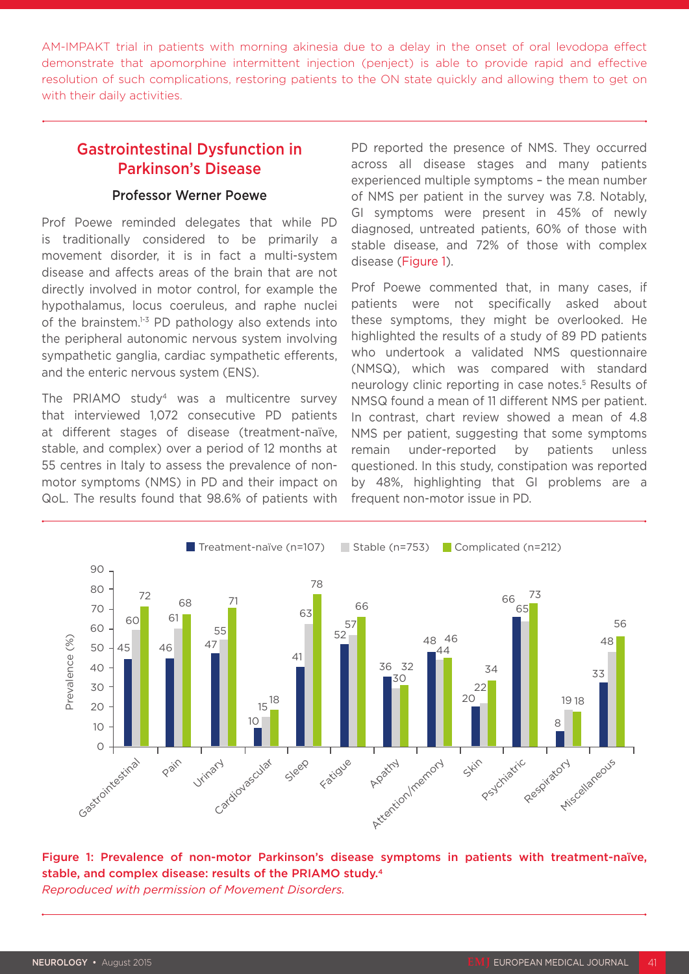AM-IMPAKT trial in patients with morning akinesia due to a delay in the onset of oral levodopa effect demonstrate that apomorphine intermittent injection (penject) is able to provide rapid and effective resolution of such complications, restoring patients to the ON state quickly and allowing them to get on with their daily activities.

### Gastrointestinal Dysfunction in Parkinson's Disease

#### Professor Werner Poewe

Prof Poewe reminded delegates that while PD is traditionally considered to be primarily a movement disorder, it is in fact a multi-system disease and affects areas of the brain that are not directly involved in motor control, for example the hypothalamus, locus coeruleus, and raphe nuclei of the brainstem. $1-3$  PD pathology also extends into the peripheral autonomic nervous system involving sympathetic ganglia, cardiac sympathetic efferents, and the enteric nervous system (ENS).

The PRIAMO study<sup>4</sup> was a multicentre survey that interviewed 1,072 consecutive PD patients at different stages of disease (treatment-naïve, stable, and complex) over a period of 12 months at 55 centres in Italy to assess the prevalence of nonmotor symptoms (NMS) in PD and their impact on QoL. The results found that 98.6% of patients with

PD reported the presence of NMS. They occurred across all disease stages and many patients experienced multiple symptoms – the mean number of NMS per patient in the survey was 7.8. Notably, GI symptoms were present in 45% of newly diagnosed, untreated patients, 60% of those with stable disease, and 72% of those with complex disease (Figure 1).

Prof Poewe commented that, in many cases, if patients were not specifically asked about these symptoms, they might be overlooked. He highlighted the results of a study of 89 PD patients who undertook a validated NMS questionnaire (NMSQ), which was compared with standard neurology clinic reporting in case notes.<sup>5</sup> Results of NMSQ found a mean of 11 different NMS per patient. In contrast, chart review showed a mean of 4.8 NMS per patient, suggesting that some symptoms remain under-reported by patients unless questioned. In this study, constipation was reported by 48%, highlighting that GI problems are a frequent non-motor issue in PD.



Figure 1: Prevalence of non-motor Parkinson's disease symptoms in patients with treatment-naïve, stable, and complex disease: results of the PRIAMO study.4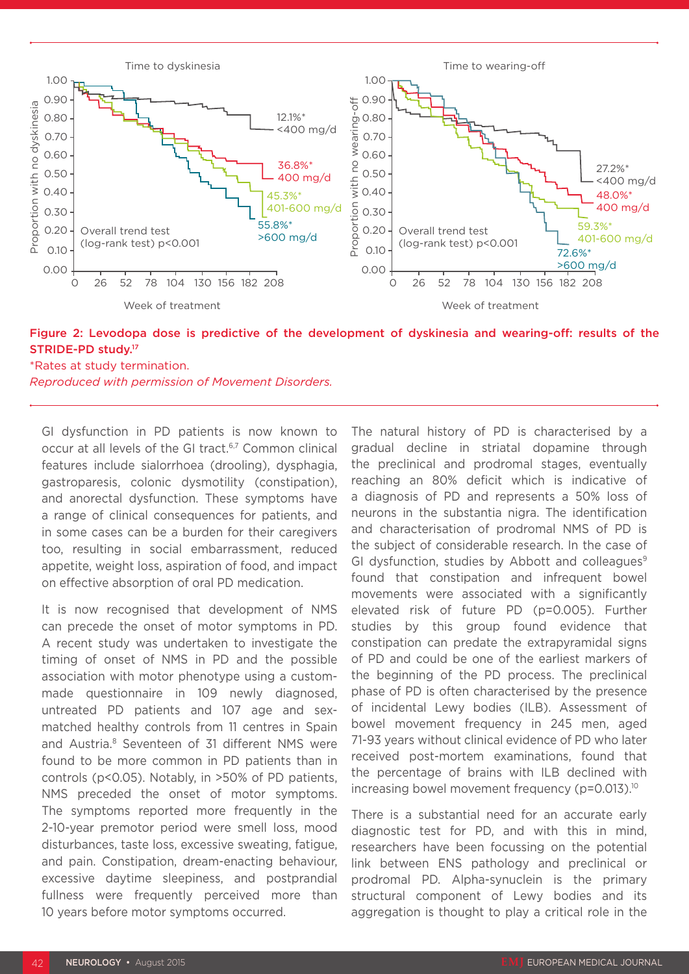

Figure 2: Levodopa dose is predictive of the development of dyskinesia and wearing-off: results of the STRIDE-PD study.17

\*Rates at study termination. *Reproduced with permission of Movement Disorders.*

GI dysfunction in PD patients is now known to occur at all levels of the GI tract.<sup>6,7</sup> Common clinical features include sialorrhoea (drooling), dysphagia, gastroparesis, colonic dysmotility (constipation), and anorectal dysfunction. These symptoms have a range of clinical consequences for patients, and in some cases can be a burden for their caregivers too, resulting in social embarrassment, reduced appetite, weight loss, aspiration of food, and impact on effective absorption of oral PD medication.

It is now recognised that development of NMS can precede the onset of motor symptoms in PD. A recent study was undertaken to investigate the timing of onset of NMS in PD and the possible association with motor phenotype using a custommade questionnaire in 109 newly diagnosed, untreated PD patients and 107 age and sexmatched healthy controls from 11 centres in Spain and Austria.<sup>8</sup> Seventeen of 31 different NMS were found to be more common in PD patients than in controls (p<0.05). Notably, in >50% of PD patients, NMS preceded the onset of motor symptoms. The symptoms reported more frequently in the 2-10-year premotor period were smell loss, mood disturbances, taste loss, excessive sweating, fatigue, and pain. Constipation, dream-enacting behaviour, excessive daytime sleepiness, and postprandial fullness were frequently perceived more than 10 years before motor symptoms occurred.

The natural history of PD is characterised by a gradual decline in striatal dopamine through the preclinical and prodromal stages, eventually reaching an 80% deficit which is indicative of a diagnosis of PD and represents a 50% loss of neurons in the substantia nigra. The identification and characterisation of prodromal NMS of PD is the subject of considerable research. In the case of GI dysfunction, studies by Abbott and colleagues $9$ found that constipation and infrequent bowel movements were associated with a significantly elevated risk of future PD (p=0.005). Further studies by this group found evidence that constipation can predate the extrapyramidal signs of PD and could be one of the earliest markers of the beginning of the PD process. The preclinical phase of PD is often characterised by the presence of incidental Lewy bodies (ILB). Assessment of bowel movement frequency in 245 men, aged 71-93 years without clinical evidence of PD who later received post-mortem examinations, found that the percentage of brains with ILB declined with increasing bowel movement frequency (p=0.013).10

There is a substantial need for an accurate early diagnostic test for PD, and with this in mind, researchers have been focussing on the potential link between ENS pathology and preclinical or prodromal PD. Alpha-synuclein is the primary structural component of Lewy bodies and its aggregation is thought to play a critical role in the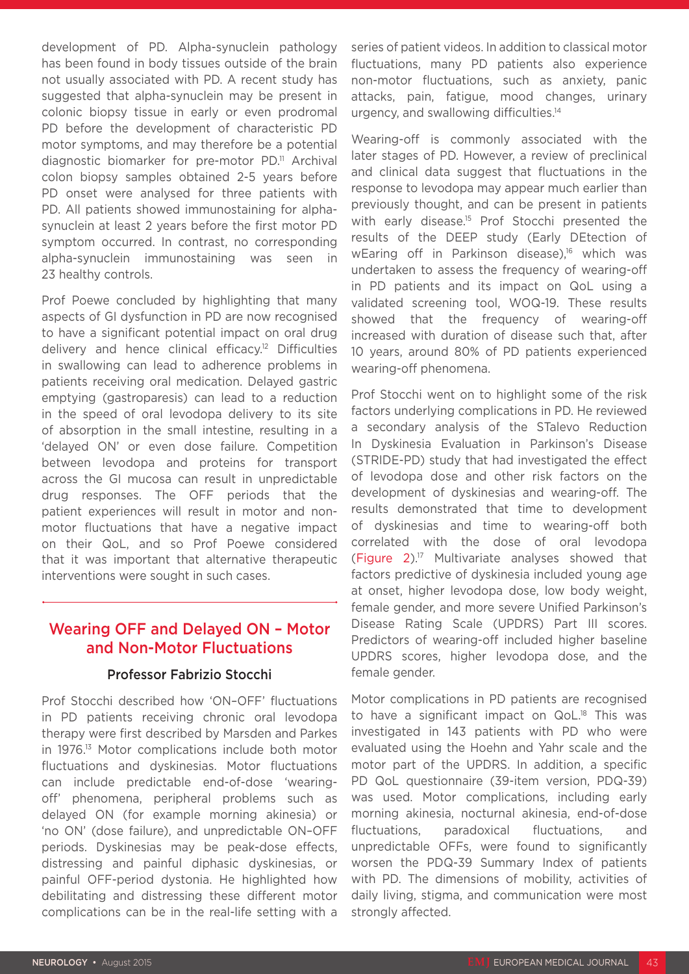development of PD. Alpha-synuclein pathology has been found in body tissues outside of the brain not usually associated with PD. A recent study has suggested that alpha-synuclein may be present in colonic biopsy tissue in early or even prodromal PD before the development of characteristic PD motor symptoms, and may therefore be a potential diagnostic biomarker for pre-motor PD.<sup>11</sup> Archival colon biopsy samples obtained 2-5 years before PD onset were analysed for three patients with PD. All patients showed immunostaining for alphasynuclein at least 2 years before the first motor PD symptom occurred. In contrast, no corresponding alpha-synuclein immunostaining was seen in 23 healthy controls.

Prof Poewe concluded by highlighting that many aspects of GI dysfunction in PD are now recognised to have a significant potential impact on oral drug delivery and hence clinical efficacy.12 Difficulties in swallowing can lead to adherence problems in patients receiving oral medication. Delayed gastric emptying (gastroparesis) can lead to a reduction in the speed of oral levodopa delivery to its site of absorption in the small intestine, resulting in a 'delayed ON' or even dose failure. Competition between levodopa and proteins for transport across the GI mucosa can result in unpredictable drug responses. The OFF periods that the patient experiences will result in motor and nonmotor fluctuations that have a negative impact on their QoL, and so Prof Poewe considered that it was important that alternative therapeutic interventions were sought in such cases.

### Wearing OFF and Delayed ON – Motor and Non-Motor Fluctuations

#### Professor Fabrizio Stocchi

Prof Stocchi described how 'ON–OFF' fluctuations in PD patients receiving chronic oral levodopa therapy were first described by Marsden and Parkes in 1976.13 Motor complications include both motor fluctuations and dyskinesias. Motor fluctuations can include predictable end-of-dose 'wearingoff' phenomena, peripheral problems such as delayed ON (for example morning akinesia) or 'no ON' (dose failure), and unpredictable ON–OFF periods. Dyskinesias may be peak-dose effects, distressing and painful diphasic dyskinesias, or painful OFF-period dystonia. He highlighted how debilitating and distressing these different motor complications can be in the real-life setting with a

series of patient videos. In addition to classical motor fluctuations, many PD patients also experience non-motor fluctuations, such as anxiety, panic attacks, pain, fatigue, mood changes, urinary urgency, and swallowing difficulties.14

Wearing-off is commonly associated with the later stages of PD. However, a review of preclinical and clinical data suggest that fluctuations in the response to levodopa may appear much earlier than previously thought, and can be present in patients with early disease.<sup>15</sup> Prof Stocchi presented the results of the DEEP study (Early DEtection of wEaring off in Parkinson disease),<sup>16</sup> which was undertaken to assess the frequency of wearing-off in PD patients and its impact on QoL using a validated screening tool, WOQ-19. These results showed that the frequency of wearing-off increased with duration of disease such that, after 10 years, around 80% of PD patients experienced wearing-off phenomena.

Prof Stocchi went on to highlight some of the risk factors underlying complications in PD. He reviewed a secondary analysis of the STalevo Reduction In Dyskinesia Evaluation in Parkinson's Disease (STRIDE-PD) study that had investigated the effect of levodopa dose and other risk factors on the development of dyskinesias and wearing-off. The results demonstrated that time to development of dyskinesias and time to wearing-off both correlated with the dose of oral levodopa (Figure 2).17 Multivariate analyses showed that factors predictive of dyskinesia included young age at onset, higher levodopa dose, low body weight, female gender, and more severe Unified Parkinson's Disease Rating Scale (UPDRS) Part III scores. Predictors of wearing-off included higher baseline UPDRS scores, higher levodopa dose, and the female gender.

Motor complications in PD patients are recognised to have a significant impact on QoL.<sup>18</sup> This was investigated in 143 patients with PD who were evaluated using the Hoehn and Yahr scale and the motor part of the UPDRS. In addition, a specific PD QoL questionnaire (39-item version, PDQ-39) was used. Motor complications, including early morning akinesia, nocturnal akinesia, end-of-dose fluctuations, paradoxical fluctuations, and unpredictable OFFs, were found to significantly worsen the PDQ-39 Summary Index of patients with PD. The dimensions of mobility, activities of daily living, stigma, and communication were most strongly affected.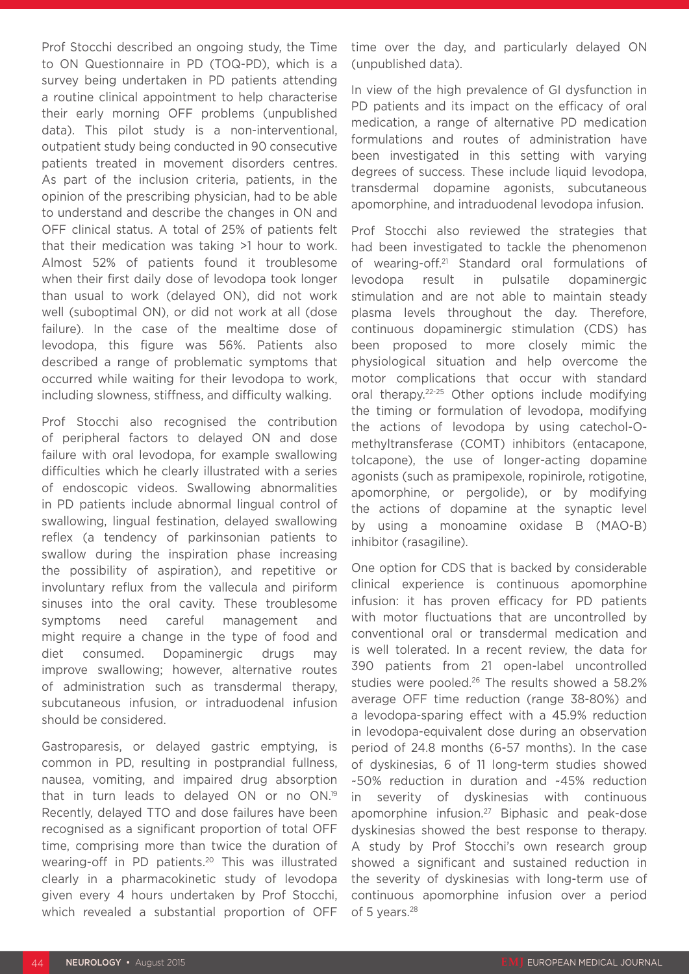Prof Stocchi described an ongoing study, the Time to ON Questionnaire in PD (TOQ-PD), which is a survey being undertaken in PD patients attending a routine clinical appointment to help characterise their early morning OFF problems (unpublished data). This pilot study is a non-interventional, outpatient study being conducted in 90 consecutive patients treated in movement disorders centres. As part of the inclusion criteria, patients, in the opinion of the prescribing physician, had to be able to understand and describe the changes in ON and OFF clinical status. A total of 25% of patients felt that their medication was taking >1 hour to work. Almost 52% of patients found it troublesome when their first daily dose of levodopa took longer than usual to work (delayed ON), did not work well (suboptimal ON), or did not work at all (dose failure). In the case of the mealtime dose of levodopa, this figure was 56%. Patients also described a range of problematic symptoms that occurred while waiting for their levodopa to work, including slowness, stiffness, and difficulty walking.

Prof Stocchi also recognised the contribution of peripheral factors to delayed ON and dose failure with oral levodopa, for example swallowing difficulties which he clearly illustrated with a series of endoscopic videos. Swallowing abnormalities in PD patients include abnormal lingual control of swallowing, lingual festination, delayed swallowing reflex (a tendency of parkinsonian patients to swallow during the inspiration phase increasing the possibility of aspiration), and repetitive or involuntary reflux from the vallecula and piriform sinuses into the oral cavity. These troublesome symptoms need careful management and might require a change in the type of food and diet consumed. Dopaminergic drugs may improve swallowing; however, alternative routes of administration such as transdermal therapy, subcutaneous infusion, or intraduodenal infusion should be considered.

Gastroparesis, or delayed gastric emptying, is common in PD, resulting in postprandial fullness, nausea, vomiting, and impaired drug absorption that in turn leads to delayed ON or no ON.19 Recently, delayed TTO and dose failures have been recognised as a significant proportion of total OFF time, comprising more than twice the duration of wearing-off in PD patients.<sup>20</sup> This was illustrated clearly in a pharmacokinetic study of levodopa given every 4 hours undertaken by Prof Stocchi, which revealed a substantial proportion of OFF time over the day, and particularly delayed ON (unpublished data).

In view of the high prevalence of GI dysfunction in PD patients and its impact on the efficacy of oral medication, a range of alternative PD medication formulations and routes of administration have been investigated in this setting with varying degrees of success. These include liquid levodopa, transdermal dopamine agonists, subcutaneous apomorphine, and intraduodenal levodopa infusion.

Prof Stocchi also reviewed the strategies that had been investigated to tackle the phenomenon of wearing-off.21 Standard oral formulations of levodopa result in pulsatile dopaminergic stimulation and are not able to maintain steady plasma levels throughout the day. Therefore, continuous dopaminergic stimulation (CDS) has been proposed to more closely mimic the physiological situation and help overcome the motor complications that occur with standard oral therapy.22-25 Other options include modifying the timing or formulation of levodopa, modifying the actions of levodopa by using catechol-Omethyltransferase (COMT) inhibitors (entacapone, tolcapone), the use of longer-acting dopamine agonists (such as pramipexole, ropinirole, rotigotine, apomorphine, or pergolide), or by modifying the actions of dopamine at the synaptic level by using a monoamine oxidase B (MAO-B) inhibitor (rasagiline).

One option for CDS that is backed by considerable clinical experience is continuous apomorphine infusion: it has proven efficacy for PD patients with motor fluctuations that are uncontrolled by conventional oral or transdermal medication and is well tolerated. In a recent review, the data for 390 patients from 21 open-label uncontrolled studies were pooled.26 The results showed a 58.2% average OFF time reduction (range 38-80%) and a levodopa-sparing effect with a 45.9% reduction in levodopa-equivalent dose during an observation period of 24.8 months (6-57 months). In the case of dyskinesias, 6 of 11 long-term studies showed ~50% reduction in duration and ~45% reduction in severity of dyskinesias with continuous apomorphine infusion.27 Biphasic and peak-dose dyskinesias showed the best response to therapy. A study by Prof Stocchi's own research group showed a significant and sustained reduction in the severity of dyskinesias with long-term use of continuous apomorphine infusion over a period of 5 years.<sup>28</sup>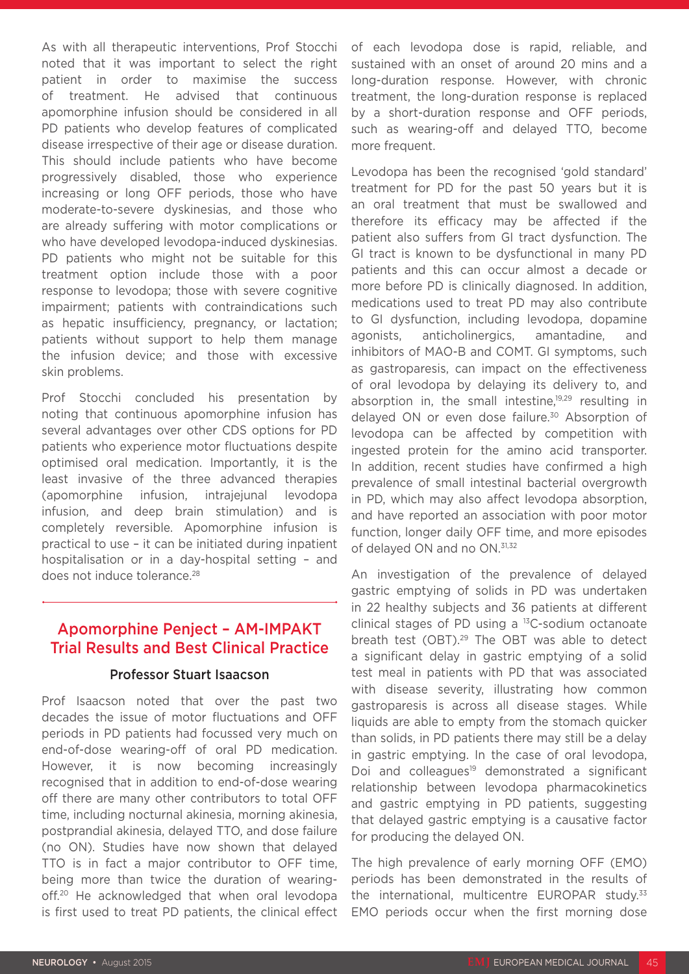As with all therapeutic interventions, Prof Stocchi noted that it was important to select the right patient in order to maximise the success of treatment. He advised that continuous apomorphine infusion should be considered in all PD patients who develop features of complicated disease irrespective of their age or disease duration. This should include patients who have become progressively disabled, those who experience increasing or long OFF periods, those who have moderate-to-severe dyskinesias, and those who are already suffering with motor complications or who have developed levodopa-induced dyskinesias. PD patients who might not be suitable for this treatment option include those with a poor response to levodopa; those with severe cognitive impairment; patients with contraindications such as hepatic insufficiency, pregnancy, or lactation; patients without support to help them manage the infusion device; and those with excessive skin problems.

Prof Stocchi concluded his presentation by noting that continuous apomorphine infusion has several advantages over other CDS options for PD patients who experience motor fluctuations despite optimised oral medication. Importantly, it is the least invasive of the three advanced therapies (apomorphine infusion, intrajejunal levodopa infusion, and deep brain stimulation) and is completely reversible. Apomorphine infusion is practical to use – it can be initiated during inpatient hospitalisation or in a day-hospital setting – and does not induce tolerance.<sup>28</sup>

### Apomorphine Penject – AM-IMPAKT Trial Results and Best Clinical Practice

#### Professor Stuart Isaacson

Prof Isaacson noted that over the past two decades the issue of motor fluctuations and OFF periods in PD patients had focussed very much on end-of-dose wearing-off of oral PD medication. However, it is now becoming increasingly recognised that in addition to end-of-dose wearing off there are many other contributors to total OFF time, including nocturnal akinesia, morning akinesia, postprandial akinesia, delayed TTO, and dose failure (no ON). Studies have now shown that delayed TTO is in fact a major contributor to OFF time, being more than twice the duration of wearingoff.<sup>20</sup> He acknowledged that when oral levodopa is first used to treat PD patients, the clinical effect of each levodopa dose is rapid, reliable, and sustained with an onset of around 20 mins and a long-duration response. However, with chronic treatment, the long-duration response is replaced by a short-duration response and OFF periods, such as wearing-off and delayed TTO, become more frequent.

Levodopa has been the recognised 'gold standard' treatment for PD for the past 50 years but it is an oral treatment that must be swallowed and therefore its efficacy may be affected if the patient also suffers from GI tract dysfunction. The GI tract is known to be dysfunctional in many PD patients and this can occur almost a decade or more before PD is clinically diagnosed. In addition, medications used to treat PD may also contribute to GI dysfunction, including levodopa, dopamine agonists, anticholinergics, amantadine, and inhibitors of MAO-B and COMT. GI symptoms, such as gastroparesis, can impact on the effectiveness of oral levodopa by delaying its delivery to, and absorption in, the small intestine.<sup>19,29</sup> resulting in delayed ON or even dose failure.<sup>30</sup> Absorption of levodopa can be affected by competition with ingested protein for the amino acid transporter. In addition, recent studies have confirmed a high prevalence of small intestinal bacterial overgrowth in PD, which may also affect levodopa absorption, and have reported an association with poor motor function, longer daily OFF time, and more episodes of delayed ON and no ON.<sup>31,32</sup>

An investigation of the prevalence of delayed gastric emptying of solids in PD was undertaken in 22 healthy subjects and 36 patients at different clinical stages of PD using a 13C-sodium octanoate breath test (OBT).29 The OBT was able to detect a significant delay in gastric emptying of a solid test meal in patients with PD that was associated with disease severity, illustrating how common gastroparesis is across all disease stages. While liquids are able to empty from the stomach quicker than solids, in PD patients there may still be a delay in gastric emptying. In the case of oral levodopa, Doi and colleagues<sup>19</sup> demonstrated a significant relationship between levodopa pharmacokinetics and gastric emptying in PD patients, suggesting that delayed gastric emptying is a causative factor for producing the delayed ON.

The high prevalence of early morning OFF (EMO) periods has been demonstrated in the results of the international, multicentre EUROPAR study.<sup>33</sup> EMO periods occur when the first morning dose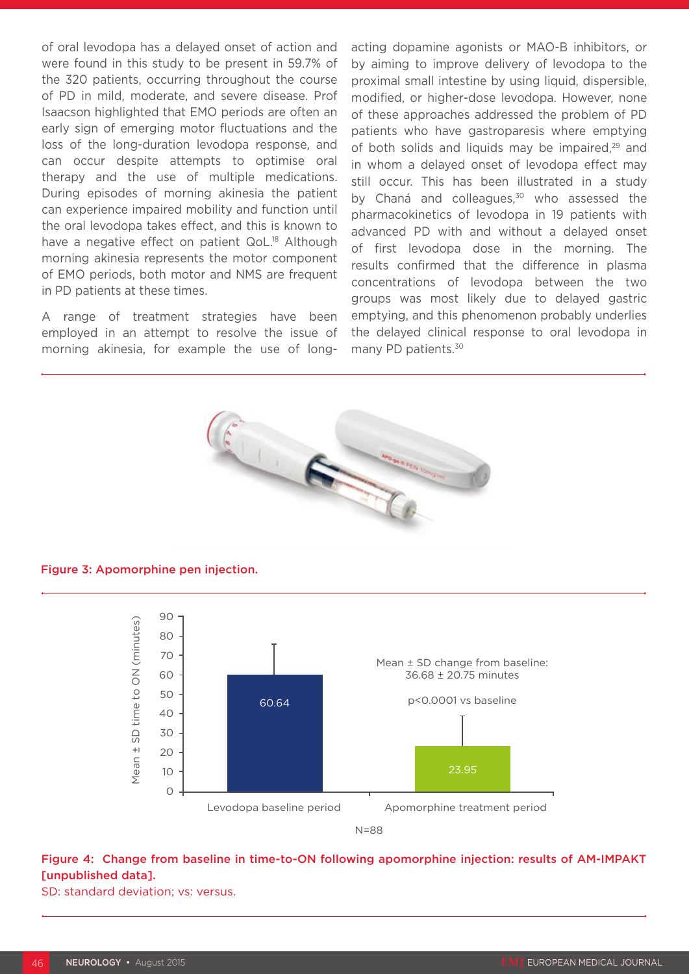of oral levodopa has a delayed onset of action and were found in this study to be present in 59.7% of the 320 patients, occurring throughout the course of PD in mild, moderate, and severe disease. Prof Isaacson highlighted that EMO periods are often an early sign of emerging motor fluctuations and the loss of the long-duration levodopa response, and can occur despite attempts to optimise oral therapy and the use of multiple medications. During episodes of morning akinesia the patient can experience impaired mobility and function until the oral levodopa takes effect, and this is known to have a negative effect on patient QoL.<sup>18</sup> Although morning akinesia represents the motor component of EMO periods, both motor and NMS are frequent in PD patients at these times.

A range of treatment strategies have been employed in an attempt to resolve the issue of morning akinesia, for example the use of longacting dopamine agonists or MAO-B inhibitors, or by aiming to improve delivery of levodopa to the proximal small intestine by using liquid, dispersible, modified, or higher-dose levodopa. However, none of these approaches addressed the problem of PD patients who have gastroparesis where emptying of both solids and liquids may be impaired,<sup>29</sup> and in whom a delayed onset of levodopa effect may still occur. This has been illustrated in a study by Chaná and colleagues,<sup>30</sup> who assessed the pharmacokinetics of levodopa in 19 patients with advanced PD with and without a delayed onset of first levodopa dose in the morning. The results confirmed that the difference in plasma concentrations of levodopa between the two groups was most likely due to delayed gastric emptying, and this phenomenon probably underlies the delayed clinical response to oral levodopa in many PD patients.<sup>30</sup>



Figure 3: Apomorphine pen injection.



### Figure 4: Change from baseline in time-to-ON following apomorphine injection: results of AM-IMPAKT [unpublished data].

SD: standard deviation; vs: versus.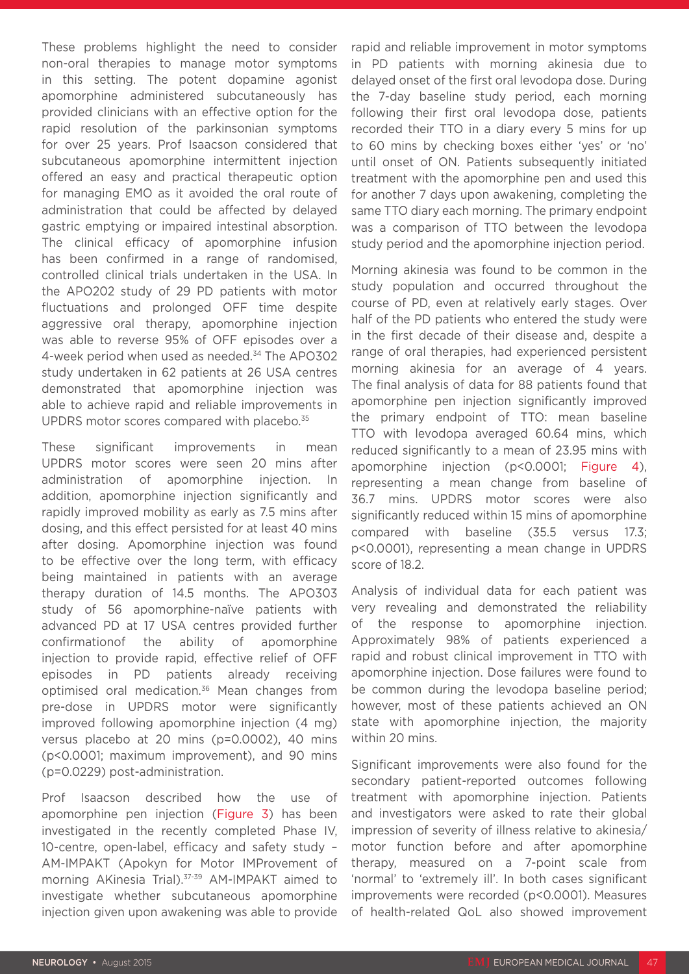These problems highlight the need to consider non-oral therapies to manage motor symptoms in this setting. The potent dopamine agonist apomorphine administered subcutaneously has provided clinicians with an effective option for the rapid resolution of the parkinsonian symptoms for over 25 years. Prof Isaacson considered that subcutaneous apomorphine intermittent injection offered an easy and practical therapeutic option for managing EMO as it avoided the oral route of administration that could be affected by delayed gastric emptying or impaired intestinal absorption. The clinical efficacy of apomorphine infusion has been confirmed in a range of randomised, controlled clinical trials undertaken in the USA. In the APO202 study of 29 PD patients with motor fluctuations and prolonged OFF time despite aggressive oral therapy, apomorphine injection was able to reverse 95% of OFF episodes over a 4-week period when used as needed.34 The APO302 study undertaken in 62 patients at 26 USA centres demonstrated that apomorphine injection was able to achieve rapid and reliable improvements in UPDRS motor scores compared with placebo.<sup>35</sup>

These significant improvements in mean UPDRS motor scores were seen 20 mins after administration of apomorphine injection. In addition, apomorphine injection significantly and rapidly improved mobility as early as 7.5 mins after dosing, and this effect persisted for at least 40 mins after dosing. Apomorphine injection was found to be effective over the long term, with efficacy being maintained in patients with an average therapy duration of 14.5 months. The APO303 study of 56 apomorphine-naïve patients with advanced PD at 17 USA centres provided further confirmationof the ability of apomorphine injection to provide rapid, effective relief of OFF episodes in PD patients already receiving optimised oral medication.36 Mean changes from pre-dose in UPDRS motor were significantly improved following apomorphine injection (4 mg) versus placebo at 20 mins (p=0.0002), 40 mins (p<0.0001; maximum improvement), and 90 mins (p=0.0229) post-administration.

Prof Isaacson described how the use of apomorphine pen injection (Figure 3) has been investigated in the recently completed Phase IV, 10-centre, open-label, efficacy and safety study – AM-IMPAKT (Apokyn for Motor IMProvement of morning AKinesia Trial).<sup>37-39</sup> AM-IMPAKT aimed to investigate whether subcutaneous apomorphine injection given upon awakening was able to provide

rapid and reliable improvement in motor symptoms in PD patients with morning akinesia due to delayed onset of the first oral levodopa dose. During the 7-day baseline study period, each morning following their first oral levodopa dose, patients recorded their TTO in a diary every 5 mins for up to 60 mins by checking boxes either 'yes' or 'no' until onset of ON. Patients subsequently initiated treatment with the apomorphine pen and used this for another 7 days upon awakening, completing the same TTO diary each morning. The primary endpoint was a comparison of TTO between the levodopa study period and the apomorphine injection period.

Morning akinesia was found to be common in the study population and occurred throughout the course of PD, even at relatively early stages. Over half of the PD patients who entered the study were in the first decade of their disease and, despite a range of oral therapies, had experienced persistent morning akinesia for an average of 4 years. The final analysis of data for 88 patients found that apomorphine pen injection significantly improved the primary endpoint of TTO: mean baseline TTO with levodopa averaged 60.64 mins, which reduced significantly to a mean of 23.95 mins with apomorphine injection (p<0.0001; Figure 4), representing a mean change from baseline of 36.7 mins. UPDRS motor scores were also significantly reduced within 15 mins of apomorphine compared with baseline (35.5 versus 17.3; p<0.0001), representing a mean change in UPDRS score of 18.2.

Analysis of individual data for each patient was very revealing and demonstrated the reliability of the response to apomorphine injection. Approximately 98% of patients experienced a rapid and robust clinical improvement in TTO with apomorphine injection. Dose failures were found to be common during the levodopa baseline period; however, most of these patients achieved an ON state with apomorphine injection, the majority within 20 mins.

Significant improvements were also found for the secondary patient-reported outcomes following treatment with apomorphine injection. Patients and investigators were asked to rate their global impression of severity of illness relative to akinesia/ motor function before and after apomorphine therapy, measured on a 7-point scale from 'normal' to 'extremely ill'. In both cases significant improvements were recorded (p<0.0001). Measures of health-related QoL also showed improvement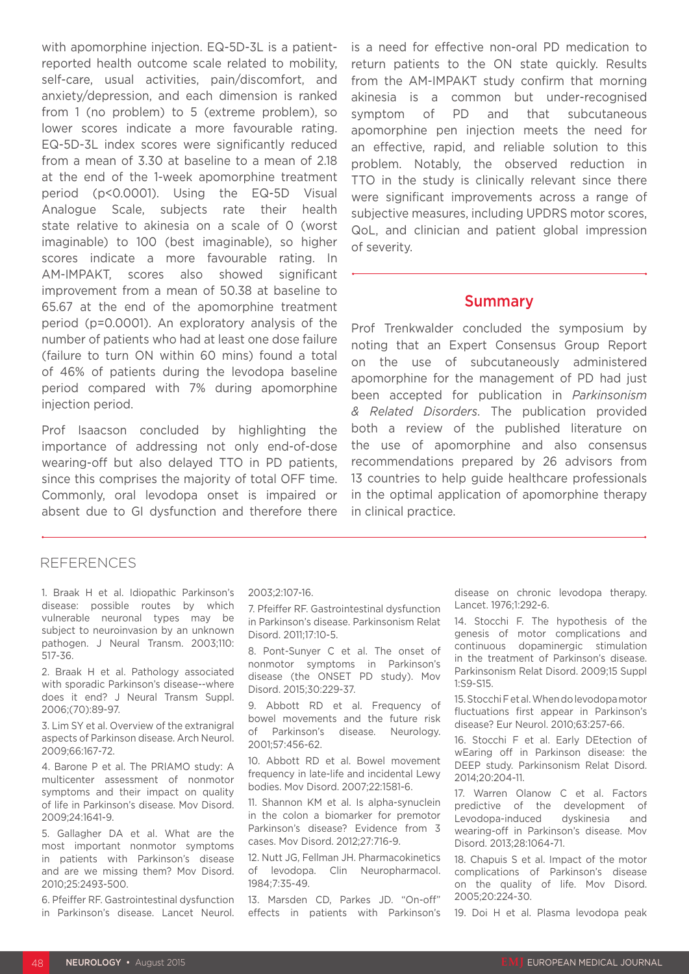with apomorphine injection. EQ-5D-3L is a patientreported health outcome scale related to mobility, self-care, usual activities, pain/discomfort, and anxiety/depression, and each dimension is ranked from 1 (no problem) to 5 (extreme problem), so lower scores indicate a more favourable rating. EQ-5D-3L index scores were significantly reduced from a mean of 3.30 at baseline to a mean of 2.18 at the end of the 1-week apomorphine treatment period (p<0.0001). Using the EQ-5D Visual Analogue Scale, subjects rate their health state relative to akinesia on a scale of 0 (worst imaginable) to 100 (best imaginable), so higher scores indicate a more favourable rating. In AM-IMPAKT, scores also showed significant improvement from a mean of 50.38 at baseline to 65.67 at the end of the apomorphine treatment period (p=0.0001). An exploratory analysis of the number of patients who had at least one dose failure (failure to turn ON within 60 mins) found a total of 46% of patients during the levodopa baseline period compared with 7% during apomorphine injection period.

Prof Isaacson concluded by highlighting the importance of addressing not only end-of-dose wearing-off but also delayed TTO in PD patients, since this comprises the majority of total OFF time. Commonly, oral levodopa onset is impaired or absent due to GI dysfunction and therefore there

is a need for effective non-oral PD medication to return patients to the ON state quickly. Results from the AM-IMPAKT study confirm that morning akinesia is a common but under-recognised symptom of PD and that subcutaneous apomorphine pen injection meets the need for an effective, rapid, and reliable solution to this problem. Notably, the observed reduction in TTO in the study is clinically relevant since there were significant improvements across a range of subjective measures, including UPDRS motor scores, QoL, and clinician and patient global impression of severity.

#### Summary

Prof Trenkwalder concluded the symposium by noting that an Expert Consensus Group Report on the use of subcutaneously administered apomorphine for the management of PD had just been accepted for publication in *Parkinsonism & Related Disorders*. The publication provided both a review of the published literature on the use of apomorphine and also consensus recommendations prepared by 26 advisors from 13 countries to help guide healthcare professionals in the optimal application of apomorphine therapy in clinical practice.

#### REFERENCES

1. Braak H et al. Idiopathic Parkinson's disease: possible routes by which vulnerable neuronal types may be subject to neuroinvasion by an unknown pathogen. J Neural Transm. 2003;110: 517-36.

2. Braak H et al. Pathology associated with sporadic Parkinson's disease--where does it end? J Neural Transm Suppl. 2006;(70):89-97.

3. Lim SY et al. Overview of the extranigral aspects of Parkinson disease. Arch Neurol. 2009;66:167-72.

4. Barone P et al. The PRIAMO study: A multicenter assessment of nonmotor symptoms and their impact on quality of life in Parkinson's disease. Mov Disord. 2009;24:1641-9.

5. Gallagher DA et al. What are the most important nonmotor symptoms in patients with Parkinson's disease and are we missing them? Mov Disord. 2010;25:2493-500.

6. Pfeiffer RF. Gastrointestinal dysfunction in Parkinson's disease. Lancet Neurol. 2003;2:107-16.

7. Pfeiffer RF. Gastrointestinal dysfunction in Parkinson's disease. Parkinsonism Relat Disord. 2011;17:10-5.

8. Pont-Sunyer C et al. The onset of nonmotor symptoms in Parkinson's disease (the ONSET PD study). Mov Disord. 2015;30:229-37.

9. Abbott RD et al. Frequency of bowel movements and the future risk of Parkinson's disease. Neurology. 2001;57:456-62.

10. Abbott RD et al. Bowel movement frequency in late-life and incidental Lewy bodies. Mov Disord. 2007;22:1581-6.

11. Shannon KM et al. Is alpha-synuclein in the colon a biomarker for premotor Parkinson's disease? Evidence from 3 cases. Mov Disord. 2012;27:716-9.

12. Nutt JG, Fellman JH. Pharmacokinetics of levodopa. Clin Neuropharmacol. 1984;7:35-49.

13. Marsden CD, Parkes JD. "On-off" effects in patients with Parkinson's

disease on chronic levodopa therapy. Lancet. 1976;1:292-6.

14. Stocchi F. The hypothesis of the genesis of motor complications and continuous dopaminergic stimulation in the treatment of Parkinson's disease. Parkinsonism Relat Disord. 2009;15 Suppl 1:S9-S15.

15. Stocchi F et al. When do levodopa motor fluctuations first appear in Parkinson's disease? Eur Neurol. 2010;63:257-66.

16. Stocchi F et al. Early DEtection of wEaring off in Parkinson disease: the DEEP study. Parkinsonism Relat Disord. 2014;20:204-11.

17. Warren Olanow C et al. Factors predictive of the development of Levodopa-induced dyskinesia and wearing-off in Parkinson's disease. Mov Disord. 2013;28:1064-71.

18. Chapuis S et al. Impact of the motor complications of Parkinson's disease on the quality of life. Mov Disord. 2005;20:224-30.

19. Doi H et al. Plasma levodopa peak